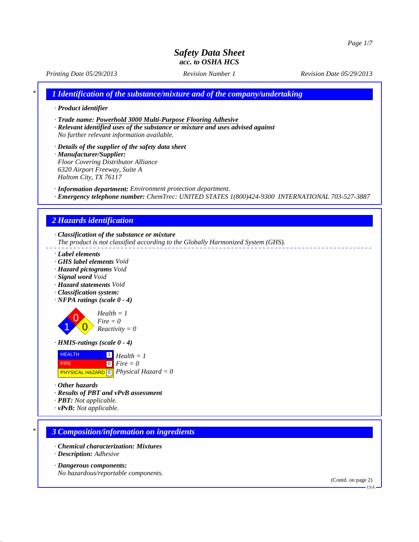*Printing Date 05/29/2013 Revision Number 1 Revision Date 05/29/2013*

*\* 1 Identification of the substance/mixture and of the company/undertaking*

- *· Product identifier*
- *· Trade name: Powerhold 3000 Multi-Purpose Flooring Adhesive*
- *· Relevant identified uses of the substance or mixture and uses advised against No further relevant information available.*
- *· Details of the supplier of the safety data sheet · Manufacturer/Supplier: Floor Covering Distributor Alliance 6320 Airport Freeway, Suite A*

*Haltom City, TX 76117*

- *· Information department: Environment protection department.*
- *· Emergency telephone number: ChemTrec: UNITED STATES 1(800)424-9300 INTERNATIONAL 703-527-3887*

## *2 Hazards identification*

- *· Classification of the substance or mixture The product is not classified according to the Globally Harmonized System (GHS).*
- *· Label elements*
- *· GHS label elements Void*
- *· Hazard pictograms Void*
- *· Signal word Void*
- *· Hazard statements Void*
- *· Classification system:*
- *· NFPA ratings (scale 0 4)*



*· HMIS-ratings (scale 0 - 4)*



- *· Other hazards*
- *· Results of PBT and vPvB assessment*
- *· PBT: Not applicable.*
- *· vPvB: Not applicable.*

#### *\* 3 Composition/information on ingredients*

- *· Chemical characterization: Mixtures*
- *· Description: Adhesive*
- *· Dangerous components:*
- *No hazardous/reportable components.*

(Contd. on page 2)

 $-<sup>T</sup>S<sub>A</sub>$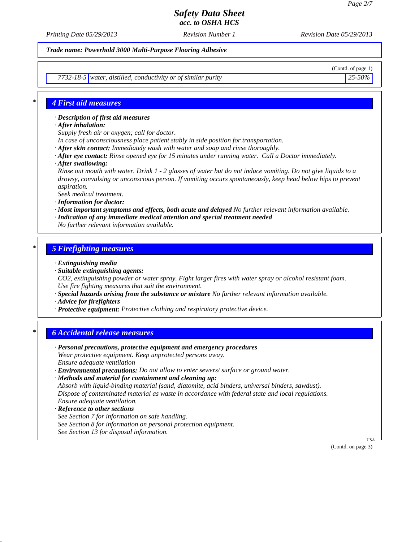*Printing Date 05/29/2013 Revision Number 1 Revision Date 05/29/2013*

*Trade name: Powerhold 3000 Multi-Purpose Flooring Adhesive*

(Contd. of page 1)

*7732-18-5 water, distilled, conductivity or of similar purity 25-50%*

### *\* 4 First aid measures*

*· Description of first aid measures*

- *· After inhalation:*
- *Supply fresh air or oxygen; call for doctor.*
- *In case of unconsciousness place patient stably in side position for transportation.*
- *· After skin contact: Immediately wash with water and soap and rinse thoroughly.*
- *· After eye contact: Rinse opened eye for 15 minutes under running water. Call a Doctor immediately.*
- *· After swallowing:*

*Rinse out mouth with water. Drink 1 - 2 glasses of water but do not induce vomiting. Do not give liquids to a drowsy, convulsing or unconscious person. If vomiting occurs spontaneously, keep head below hips to prevent aspiration.*

*Seek medical treatment.*

- *· Information for doctor:*
- *· Most important symptoms and effects, both acute and delayed No further relevant information available.*
- *· Indication of any immediate medical attention and special treatment needed*
- *No further relevant information available.*

### *\* 5 Firefighting measures*

- *· Extinguishing media*
- *· Suitable extinguishing agents:*
- *CO2, extinguishing powder or water spray. Fight larger fires with water spray or alcohol resistant foam. Use fire fighting measures that suit the environment.*
- *· Special hazards arising from the substance or mixture No further relevant information available.*
- *· Advice for firefighters*
- *· Protective equipment: Protective clothing and respiratory protective device.*

## *\* 6 Accidental release measures*

- *· Personal precautions, protective equipment and emergency procedures Wear protective equipment. Keep unprotected persons away. Ensure adequate ventilation · Environmental precautions: Do not allow to enter sewers/ surface or ground water.*
- *· Methods and material for containment and cleaning up:*

*Absorb with liquid-binding material (sand, diatomite, acid binders, universal binders, sawdust). Dispose of contaminated material as waste in accordance with federal state and local regulations. Ensure adequate ventilation.*

*· Reference to other sections See Section 7 for information on safe handling. See Section 8 for information on personal protection equipment. See Section 13 for disposal information.*

(Contd. on page 3)

USA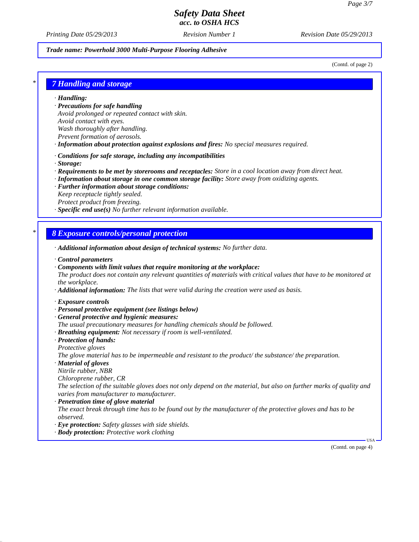*Printing Date 05/29/2013 Revision Number 1 Revision Date 05/29/2013*

#### *Trade name: Powerhold 3000 Multi-Purpose Flooring Adhesive*

(Contd. of page 2)

#### *\* 7 Handling and storage*

*· Handling:*

- *· Precautions for safe handling Avoid prolonged or repeated contact with skin. Avoid contact with eyes. Wash thoroughly after handling. Prevent formation of aerosols.*
- *· Information about protection against explosions and fires: No special measures required.*
- *· Conditions for safe storage, including any incompatibilities*
- *· Storage:*
- *· Requirements to be met by storerooms and receptacles: Store in a cool location away from direct heat.*
- *· Information about storage in one common storage facility: Store away from oxidizing agents.*
- *· Further information about storage conditions:*
- *Keep receptacle tightly sealed. Protect product from freezing.*
- *· Specific end use(s) No further relevant information available.*

### *\* 8 Exposure controls/personal protection*

- *· Additional information about design of technical systems: No further data.*
- *· Control parameters*
- *· Components with limit values that require monitoring at the workplace: The product does not contain any relevant quantities of materials with critical values that have to be monitored at the workplace.*
- *· Additional information: The lists that were valid during the creation were used as basis.*
- *· Exposure controls*
- *· Personal protective equipment (see listings below)*
- *· General protective and hygienic measures:*
- *The usual precautionary measures for handling chemicals should be followed.*
- *· Breathing equipment: Not necessary if room is well-ventilated.*
- *· Protection of hands:*
- *Protective gloves*

*The glove material has to be impermeable and resistant to the product/ the substance/ the preparation.*

- *· Material of gloves*
- *Nitrile rubber, NBR*

*Chloroprene rubber, CR*

*The selection of the suitable gloves does not only depend on the material, but also on further marks of quality and varies from manufacturer to manufacturer.*

*· Penetration time of glove material*

*The exact break through time has to be found out by the manufacturer of the protective gloves and has to be observed.*

- *· Eye protection: Safety glasses with side shields.*
- *· Body protection: Protective work clothing*

(Contd. on page 4)

USA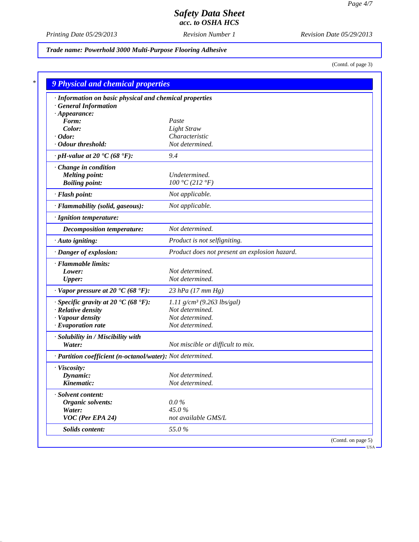*Printing Date 05/29/2013 Revision Number 1 Revision Date 05/29/2013*

*Trade name: Powerhold 3000 Multi-Purpose Flooring Adhesive*

(Contd. of page 3)

| · Information on basic physical and chemical properties      |                                               |  |
|--------------------------------------------------------------|-----------------------------------------------|--|
| <b>General Information</b>                                   |                                               |  |
| $\cdot$ Appearance:                                          |                                               |  |
| Form:                                                        | Paste<br><b>Light Straw</b>                   |  |
| Color:<br>$\cdot$ Odor:                                      | Characteristic                                |  |
| · Odour threshold:                                           | Not determined.                               |  |
| $\cdot$ pH-value at 20 $\textdegree$ C (68 $\textdegree$ F): | 9.4                                           |  |
| Change in condition                                          |                                               |  |
| <b>Melting point:</b>                                        | Undetermined.                                 |  |
| <b>Boiling point:</b>                                        | 100 °C (212 °F)                               |  |
| · Flash point:                                               | Not applicable.                               |  |
| · Flammability (solid, gaseous):                             | Not applicable.                               |  |
| · Ignition temperature:                                      |                                               |  |
| Decomposition temperature:                                   | Not determined.                               |  |
| · Auto igniting:                                             | Product is not selfigniting.                  |  |
| · Danger of explosion:                                       | Product does not present an explosion hazard. |  |
| · Flammable limits:                                          |                                               |  |
| Lower:                                                       | Not determined.                               |  |
| <b>Upper:</b>                                                | Not determined.                               |  |
| $\cdot$ Vapor pressure at 20 $\cdot$ C (68 $\cdot$ F):       | 23 hPa (17 mm Hg)                             |  |
| $\cdot$ Specific gravity at 20 °C (68 °F):                   | $1.11$ g/cm <sup>3</sup> (9.263 lbs/gal)      |  |
| · Relative density                                           | Not determined.                               |  |
| · Vapour density                                             | Not determined.                               |  |
| $\cdot$ Evaporation rate                                     | Not determined.                               |  |
| · Solubility in / Miscibility with                           |                                               |  |
| Water:                                                       | Not miscible or difficult to mix.             |  |
| · Partition coefficient (n-octanol/water): Not determined.   |                                               |  |
| · Viscosity:                                                 |                                               |  |
| Dynamic:                                                     | Not determined.                               |  |
| Kinematic:                                                   | Not determined.                               |  |
| · Solvent content:                                           |                                               |  |
| Organic solvents:                                            | $0.0\,\%$                                     |  |
| Water:                                                       | 45.0%                                         |  |
| VOC (Per EPA 24)                                             | not available GMS/L                           |  |
| Solids content:                                              | 55.0%                                         |  |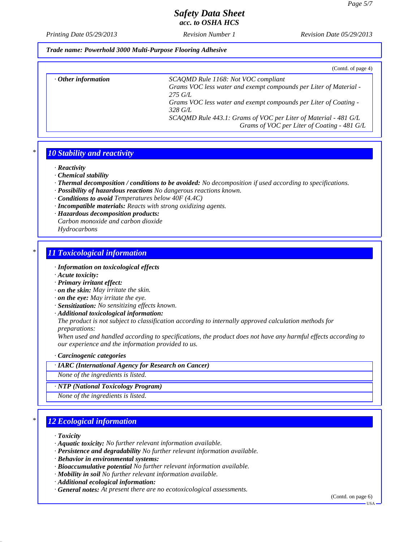*Printing Date 05/29/2013 Revision Number 1 Revision Date 05/29/2013*

*Trade name: Powerhold 3000 Multi-Purpose Flooring Adhesive*

|                           | (Contd. of page 4)                                                                                       |
|---------------------------|----------------------------------------------------------------------------------------------------------|
| $\cdot$ Other information | SCAQMD Rule 1168: Not VOC compliant<br>Grams VOC less water and exempt compounds per Liter of Material - |
|                           | $275 \text{ } GL$                                                                                        |
|                           | Grams VOC less water and exempt compounds per Liter of Coating -<br>328 G/L                              |
|                           | SCAQMD Rule 443.1: Grams of VOC per Liter of Material - 481 G/L                                          |
|                           | Grams of VOC per Liter of Coating - 481 G/L                                                              |

## *\* 10 Stability and reactivity*

*· Reactivity*

- *· Chemical stability*
- *· Thermal decomposition / conditions to be avoided: No decomposition if used according to specifications.*
- *· Possibility of hazardous reactions No dangerous reactions known.*
- *· Conditions to avoid Temperatures below 40F (4.4C)*
- *· Incompatible materials: Reacts with strong oxidizing agents.*
- *· Hazardous decomposition products: Carbon monoxide and carbon dioxide*

*Hydrocarbons*

### *\* 11 Toxicological information*

*· Information on toxicological effects*

- *· Acute toxicity:*
- *· Primary irritant effect:*
- *· on the skin: May irritate the skin.*
- *· on the eye: May irritate the eye.*
- *· Sensitization: No sensitizing effects known.*
- *· Additional toxicological information:*

*The product is not subject to classification according to internally approved calculation methods for preparations:*

*When used and handled according to specifications, the product does not have any harmful effects according to our experience and the information provided to us.*

*· Carcinogenic categories*

*· IARC (International Agency for Research on Cancer)*

*None of the ingredients is listed.*

#### *· NTP (National Toxicology Program)*

*None of the ingredients is listed.*

### *\* 12 Ecological information*

*· Toxicity*

- *· Aquatic toxicity: No further relevant information available.*
- *· Persistence and degradability No further relevant information available.*
- *· Behavior in environmental systems:*
- *· Bioaccumulative potential No further relevant information available.*
- *· Mobility in soil No further relevant information available.*
- *· Additional ecological information:*
- *· General notes: At present there are no ecotoxicological assessments.*

(Contd. on page 6)

 $-<sub>HSA</sub>$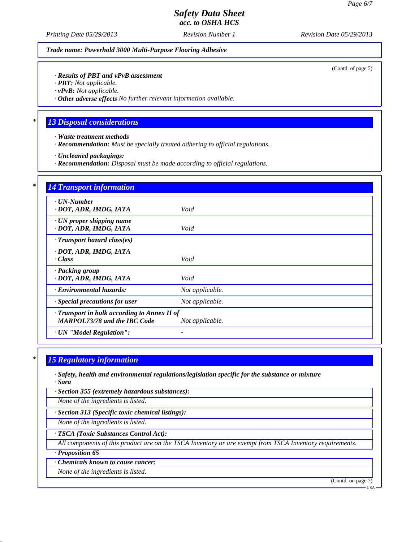*Printing Date 05/29/2013 Revision Number 1 Revision Date 05/29/2013*

*Trade name: Powerhold 3000 Multi-Purpose Flooring Adhesive*

(Contd. of page 5)

*· Results of PBT and vPvB assessment*

*· PBT: Not applicable.*

*· vPvB: Not applicable.*

*· Other adverse effects No further relevant information available.*

### *\* 13 Disposal considerations*

- *· Waste treatment methods*
- *· Recommendation: Must be specially treated adhering to official regulations.*
- *· Uncleaned packagings:*
- *· Recommendation: Disposal must be made according to official regulations.*

| $\cdot$ UN-Number<br>· DOT, ADR, IMDG, IATA               | Void            |
|-----------------------------------------------------------|-----------------|
| $\cdot$ UN proper shipping name<br>· DOT, ADR, IMDG, IATA | Void            |
| $\cdot$ Transport hazard class(es)                        |                 |
| · DOT, ADR, IMDG, IATA                                    |                 |
| · Class                                                   | Void            |
| · Packing group                                           |                 |
| · DOT, ADR, IMDG, IATA                                    | Void            |
| · Environmental hazards:                                  | Not applicable. |
| Special precautions for user                              | Not applicable. |
| · Transport in bulk according to Annex II of              |                 |
| <b>MARPOL73/78 and the IBC Code</b>                       | Not applicable. |

### *\* 15 Regulatory information*

- *· Safety, health and environmental regulations/legislation specific for the substance or mixture · Sara*
- *· Section 355 (extremely hazardous substances):*

*None of the ingredients is listed.*

*· Section 313 (Specific toxic chemical listings):*

*None of the ingredients is listed.*

*· TSCA (Toxic Substances Control Act):*

*All components of this product are on the TSCA Inventory or are exempt from TSCA Inventory requirements.*

*· Proposition 65*

*· Chemicals known to cause cancer:*

*None of the ingredients is listed.*

(Contd. on page 7)

USA